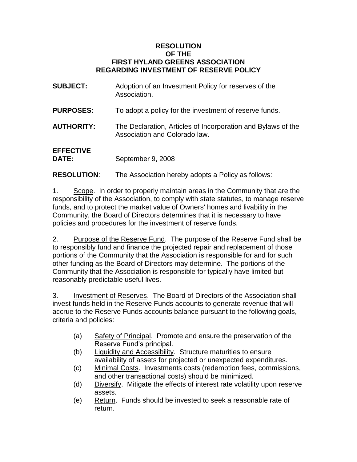## **RESOLUTION OF THE FIRST HYLAND GREENS ASSOCIATION REGARDING INVESTMENT OF RESERVE POLICY**

| <b>SUBJECT:</b>                  | Adoption of an Investment Policy for reserves of the<br>Association.                          |
|----------------------------------|-----------------------------------------------------------------------------------------------|
| <b>PURPOSES:</b>                 | To adopt a policy for the investment of reserve funds.                                        |
| <b>AUTHORITY:</b>                | The Declaration, Articles of Incorporation and Bylaws of the<br>Association and Colorado law. |
| <b>EFFECTIVE</b><br><b>DATE:</b> | September 9, 2008                                                                             |

**RESOLUTION**: The Association hereby adopts a Policy as follows:

1. Scope. In order to properly maintain areas in the Community that are the responsibility of the Association, to comply with state statutes, to manage reserve funds, and to protect the market value of Owners' homes and livability in the Community, the Board of Directors determines that it is necessary to have policies and procedures for the investment of reserve funds.

2. Purpose of the Reserve Fund. The purpose of the Reserve Fund shall be to responsibly fund and finance the projected repair and replacement of those portions of the Community that the Association is responsible for and for such other funding as the Board of Directors may determine. The portions of the Community that the Association is responsible for typically have limited but reasonably predictable useful lives.

3. Investment of Reserves. The Board of Directors of the Association shall invest funds held in the Reserve Funds accounts to generate revenue that will accrue to the Reserve Funds accounts balance pursuant to the following goals, criteria and policies:

- (a) Safety of Principal. Promote and ensure the preservation of the Reserve Fund's principal.
- (b) Liquidity and Accessibility. Structure maturities to ensure availability of assets for projected or unexpected expenditures.
- (c) Minimal Costs. Investments costs (redemption fees, commissions, and other transactional costs) should be minimized.
- (d) Diversify. Mitigate the effects of interest rate volatility upon reserve assets.
- (e) Return. Funds should be invested to seek a reasonable rate of return.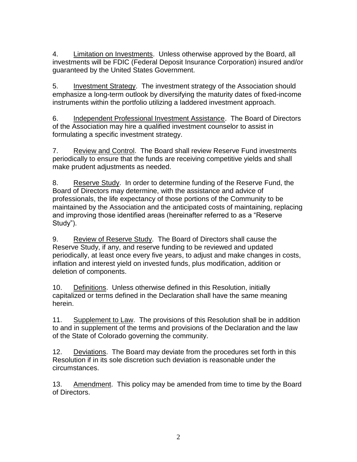4. Limitation on Investments. Unless otherwise approved by the Board, all investments will be FDIC (Federal Deposit Insurance Corporation) insured and/or guaranteed by the United States Government.

5. Investment Strategy. The investment strategy of the Association should emphasize a long-term outlook by diversifying the maturity dates of fixed-income instruments within the portfolio utilizing a laddered investment approach.

6. Independent Professional Investment Assistance. The Board of Directors of the Association may hire a qualified investment counselor to assist in formulating a specific investment strategy.

7. Review and Control. The Board shall review Reserve Fund investments periodically to ensure that the funds are receiving competitive yields and shall make prudent adjustments as needed.

8. Reserve Study. In order to determine funding of the Reserve Fund, the Board of Directors may determine, with the assistance and advice of professionals, the life expectancy of those portions of the Community to be maintained by the Association and the anticipated costs of maintaining, replacing and improving those identified areas (hereinafter referred to as a "Reserve Study").

9. Review of Reserve Study. The Board of Directors shall cause the Reserve Study, if any, and reserve funding to be reviewed and updated periodically, at least once every five years, to adjust and make changes in costs, inflation and interest yield on invested funds, plus modification, addition or deletion of components.

10. Definitions. Unless otherwise defined in this Resolution, initially capitalized or terms defined in the Declaration shall have the same meaning herein.

11. Supplement to Law. The provisions of this Resolution shall be in addition to and in supplement of the terms and provisions of the Declaration and the law of the State of Colorado governing the community.

12. Deviations. The Board may deviate from the procedures set forth in this Resolution if in its sole discretion such deviation is reasonable under the circumstances.

13. Amendment. This policy may be amended from time to time by the Board of Directors.